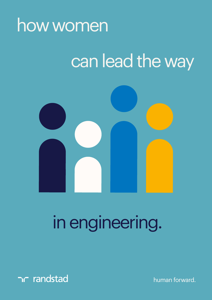

## can lead the way



# in engineering.



human forward.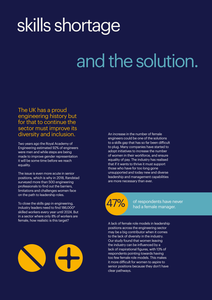# skills shortage

# and the solution.

The UK has a proud engineering history but for that to continue the sector must improve its diversity and inclusion.

Two years ago the Royal Academy of Engineering estimated 92% of engineers were men and while steps are being made to improve gender representation it will be some time before we reach equality.

The issue is even more acute in senior positions, which is why in 2018, Randstad surveyed more than 500 engineering professionals to find out the barriers, limitations and challenges women face on the path to leadership roles.

To close the skills gap in engineering, industry leaders need to find 186,000\* skilled workers every year until 2024. But in a sector where only 8% of workers are female, how realistic is this target?



An increase in the number of female engineers could be one of the solutions to a skills gap that has so far been difficult to plug. Many companies have started to adopt initiatives to increase the number of women in their workforce, and ensure equality of pay. The industry has realised that if it wants to thrive it must support those who have for too long gone unsupported and today new and diverse leadership and management capabilities are more necessary than ever.



of respondents have never had a female manager.

A lack of female role models in leadership positions across the engineering sector may be a big contributor when it comes to the lack of diversity in the industry. Our study found that women leaving the industry can be influenced by a lack of inspirational figures, with 13% of respondents pointing towards having too few female role models. This makes it more difficult for women to aspire to senior positions because they don't have clear pathways.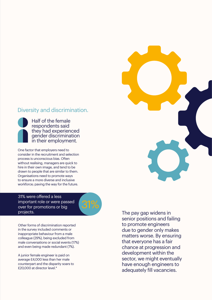#### Diversity and discrimination.

Half of the female respondents said they had experienced gender discrimination in their employment.

One factor that employers need to consider in the recruitment and selection process is unconscious bias. Often without realising, managers are quick to hire in their own image, and tend to be drawn to people that are similar to them. Organisations need to promote ways to ensure a more diverse and inclusive workforce; paving the way for the future.

31% were offered a less important role or were passed over for promotions or big projects.



Other forms of discrimination reported in the survey included comments or inappropriate behaviour from a male colleague (29%), being excluded from male conversations or social events (17%) and even being made redundant (7%).

A junior female engineer is paid on average £4,000 less than her male counterpart and the disparity soars to £20,000 at director level.\*

The pay gap widens in senior positions and failing to promote engineers due to gender only makes matters worse. By ensuring that everyone has a fair chance at progression and development within the sector, we might eventually have enough engineers to adequately fill vacancies.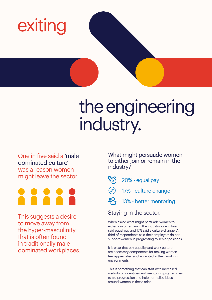

## the engineering industry.

One in five said a 'male dominated culture' was a reason women might leave the sector.



This suggests a desire to move away from the hyper-masculinity that is often found in traditionally male dominated workplaces. What might persuade women to either join or remain in the industry?



17% - culture change

 $89<sub>1</sub>$ 13% - better mentoring

### Staying in the sector.

When asked what might persuade women to either join or remain in the industry, one in five said equal pay and 17% said a culture change. A third of respondents said their employers do not support women in progressing to senior positions.

It is clear that pay equality and work culture are necessary components for making women feel appreciated and accepted in their working environments.

This is something that can start with increased visibility of incentives and mentoring programmes to aid progression and help normalise ideas around women in these roles.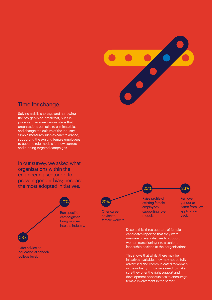

### Time for change.

Solving a skills shortage and narrowing the pay gap is no small feat, but it is possible. There are various steps that organisations can take to eliminate bias and change the culture of the industry. Simple measures such as careers advice, supporting the existing female employees to become role-models for new starters and running targeted campaigns.

In our survey, we asked what organisations within the engineering sector do to prevent gender bias; here are the most adopted initiatives.



This shows that whilst there may be initiatives available, they may not be fully advertised and communicated to women in the industry. Employers need to make sure they offer the right support and development opportunities to encourage female involvement in the sector.

23% 23%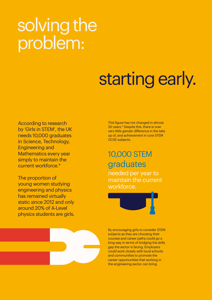## solving the problem:

# starting early.

According to research by 'Girls in STEM', the UK needs 10,000 graduates in Science, Technology, Engineering and Mathematics every year simply to maintain the current workforce.\*

The proportion of young women studying engineering and physics has remained virtually static since 2012 and only around 20% of A-Level physics students are girls. This figure has not changed in almost 30 years.\* Despite this, there is now very little gender difference in the take up of, and achievement in core STEM GCSE subjects.

## graduates 10,000 STEM

needed per year to maintain the current workforce.



By encouraging girls to consider STEM subjects as they are choosing their courses and career paths could go a long way in terms of bridging the skills gap the sector is facing. Employers could work closely with local schools and communities to promote the career opportunities that working in the engineering sector can bring.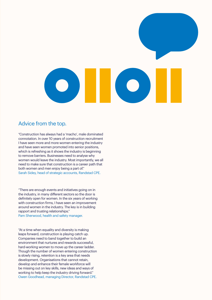

#### Advice from the top.

"Construction has always had a 'macho', male dominated connotation. In over 10 years of construction recruitment I have seen more and more women entering the industry and have seen women promoted into senior positions, which is refreshing as it shows the industry is beginning to remove barriers. Businesses need to analyse why women would leave the industry. Most importantly, we all need to make sure that construction is a career path that both women and men enjoy being a part of." Sarah Sidey, head of strategic accounts, Randstad CPE.

"There are enough events and initiatives going on in the industry, in many different sectors so the door is definitely open for women. In the six years of working with construction firms, I have seen an improvement around women in the industry. The key is in building rapport and trusting relationships." Pam Sherwood, health and safety manager.

"At a time when equality and diversity is making leaps forward, construction is playing catch up. Companies need to band together to build an environment that nurtures and rewards successful, hard-working women to move up the career ladder. Though the number of women entering construction is slowly rising, retention is a key area that needs development. Organisations that cannot retain, develop and enhance their female workforce will be missing out on key skills, new ideas and ways of working to help keep the industry driving forward." Owen Goodhead, managing Director, Randstad CPE.